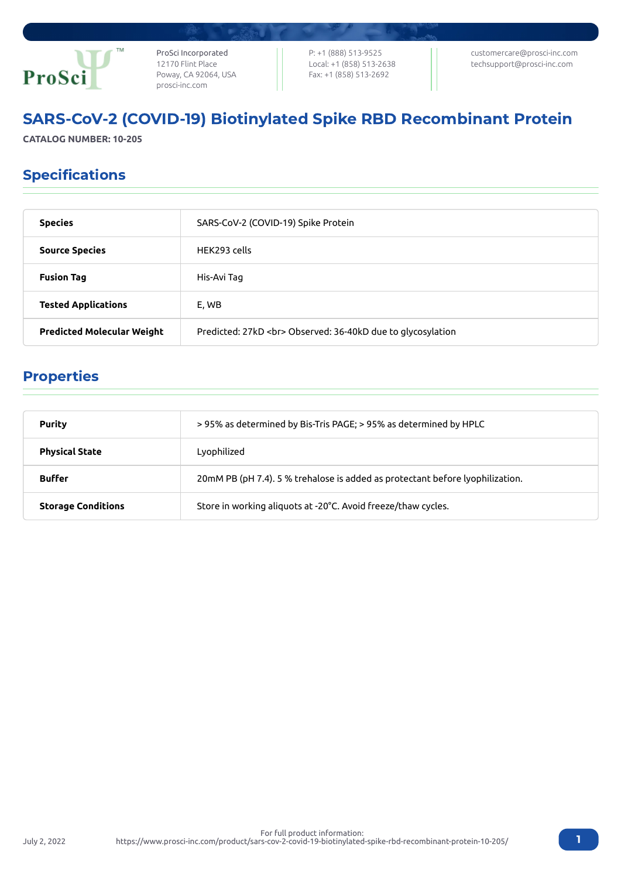

ProSci Incorporated 12170 Flint Place Poway, CA 92064, USA [prosci-inc.com](https://prosci-inc.com/)

P: +1 (888) 513-9525 Local: +1 (858) 513-2638 Fax: +1 (858) 513-2692

[customercare@prosci-inc.com](mailto:customercare@prosci-inc.com) [techsupport@prosci-inc.com](mailto:techsupport@prosci-inc.com)

# SARS-CoV-2 (COVID-19) Biotinylated Spike RBD Recombinant Protein

**CATALOG NUMBER: 10-205**

## Specifications

| <b>Species</b>                    | SARS-CoV-2 (COVID-19) Spike Protein                         |
|-----------------------------------|-------------------------------------------------------------|
| <b>Source Species</b>             | HFK293 cells                                                |
| <b>Fusion Tag</b>                 | His-Avi Tag                                                 |
| <b>Tested Applications</b>        | E, WB                                                       |
| <b>Predicted Molecular Weight</b> | Predicted: 27kD<br>> Observed: 36-40kD due to glycosylation |

## Properties

July 2, 2022

| <b>Purity</b>             | >95% as determined by Bis-Tris PAGE; >95% as determined by HPLC               |
|---------------------------|-------------------------------------------------------------------------------|
| <b>Physical State</b>     | Lyophilized                                                                   |
| <b>Buffer</b>             | 20mM PB (pH 7.4). 5 % trehalose is added as protectant before lyophilization. |
| <b>Storage Conditions</b> | Store in working aliguots at -20°C. Avoid freeze/thaw cycles.                 |